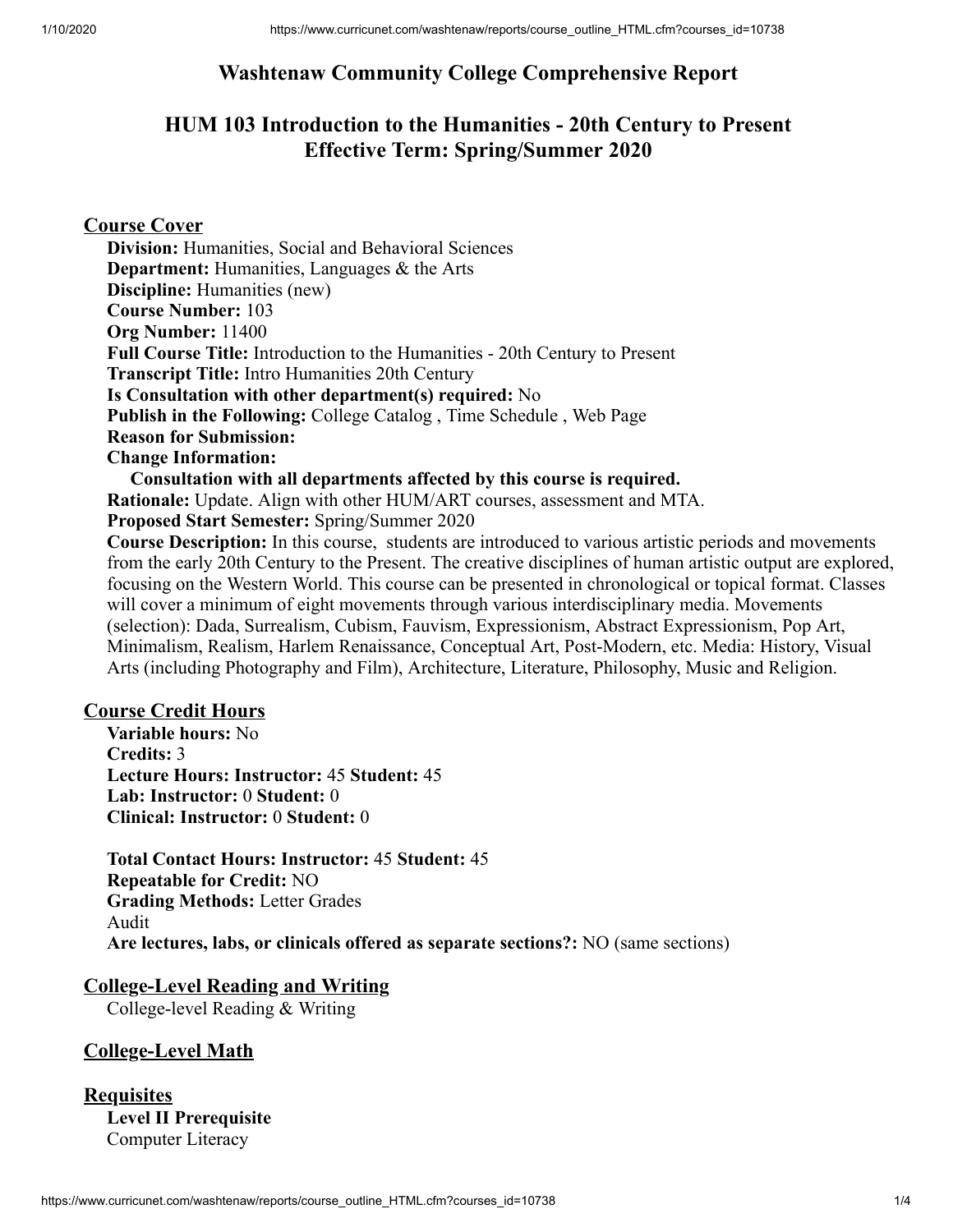# **Washtenaw Community College Comprehensive Report**

# **HUM 103 Introduction to the Humanities - 20th Century to Present Effective Term: Spring/Summer 2020**

# **Course Cover**

**Division:** Humanities, Social and Behavioral Sciences **Department:** Humanities, Languages & the Arts **Discipline:** Humanities (new) **Course Number:** 103 **Org Number:** 11400 **Full Course Title:** Introduction to the Humanities - 20th Century to Present **Transcript Title:** Intro Humanities 20th Century **Is Consultation with other department(s) required:** No **Publish in the Following:** College Catalog , Time Schedule , Web Page **Reason for Submission: Change Information: Consultation with all departments affected by this course is required.**

**Rationale:** Update. Align with other HUM/ART courses, assessment and MTA. **Proposed Start Semester:** Spring/Summer 2020

**Course Description:** In this course, students are introduced to various artistic periods and movements from the early 20th Century to the Present. The creative disciplines of human artistic output are explored, focusing on the Western World. This course can be presented in chronological or topical format. Classes will cover a minimum of eight movements through various interdisciplinary media. Movements (selection): Dada, Surrealism, Cubism, Fauvism, Expressionism, Abstract Expressionism, Pop Art, Minimalism, Realism, Harlem Renaissance, Conceptual Art, Post-Modern, etc. Media: History, Visual Arts (including Photography and Film), Architecture, Literature, Philosophy, Music and Religion.

#### **Course Credit Hours**

**Variable hours:** No **Credits:** 3 **Lecture Hours: Instructor:** 45 **Student:** 45 **Lab: Instructor:** 0 **Student:** 0 **Clinical: Instructor:** 0 **Student:** 0

**Total Contact Hours: Instructor:** 45 **Student:** 45 **Repeatable for Credit:** NO **Grading Methods:** Letter Grades Audit **Are lectures, labs, or clinicals offered as separate sections?:** NO (same sections)

### **College-Level Reading and Writing**

College-level Reading & Writing

# **College-Level Math**

**Requisites Level II Prerequisite** Computer Literacy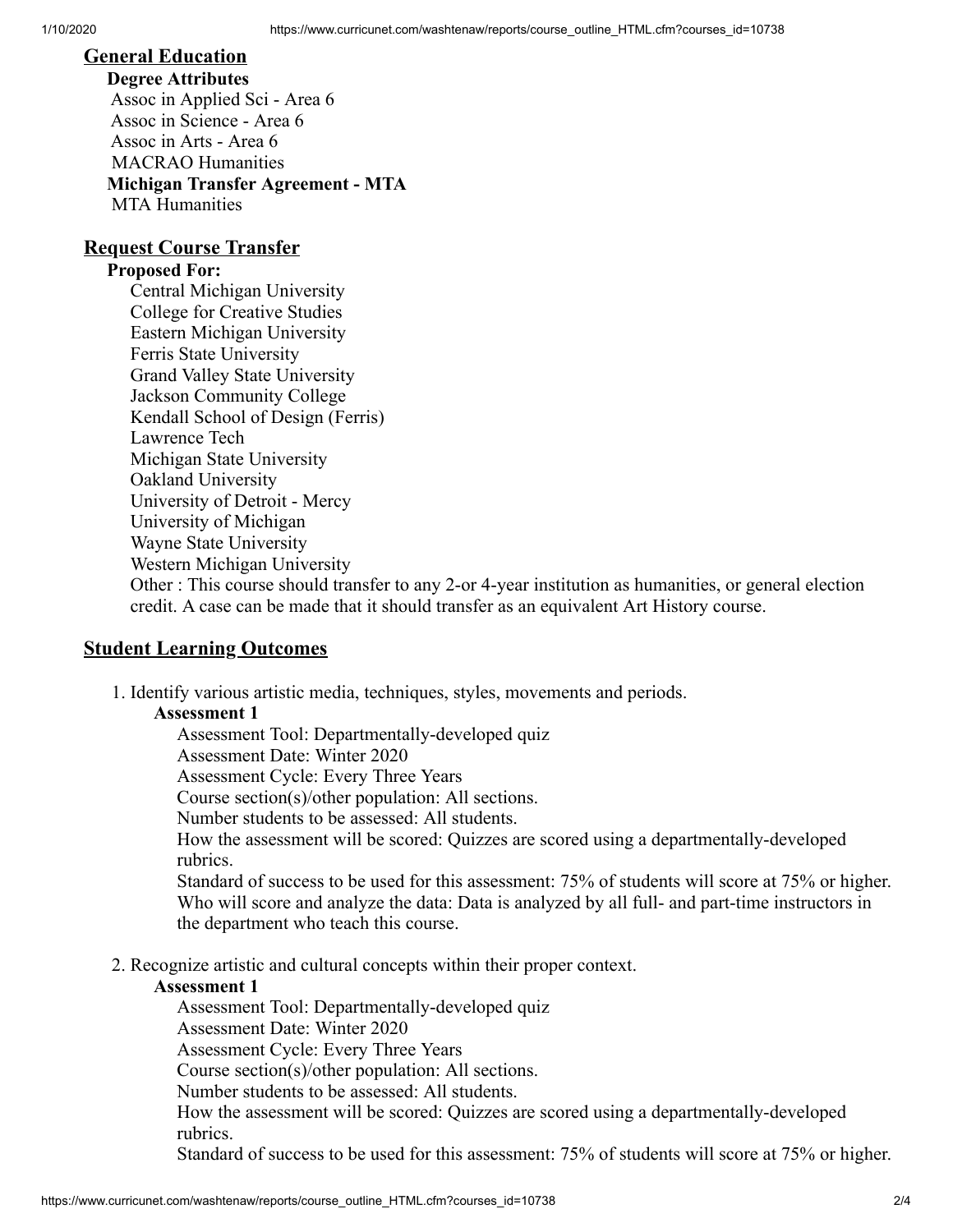#### **General Education**

**Degree Attributes** Assoc in Applied Sci - Area 6 Assoc in Science - Area 6 Assoc in Arts - Area 6 MACRAO Humanities **Michigan Transfer Agreement - MTA** MTA Humanities

### **Request Course Transfer**

#### **Proposed For:**

Central Michigan University College for Creative Studies Eastern Michigan University Ferris State University Grand Valley State University Jackson Community College Kendall School of Design (Ferris) Lawrence Tech Michigan State University Oakland University University of Detroit - Mercy University of Michigan Wayne State University Western Michigan University Other : This course should transfer to any 2-or 4-year institution as humanities, or general election credit. A case can be made that it should transfer as an equivalent Art History course.

#### **Student Learning Outcomes**

1. Identify various artistic media, techniques, styles, movements and periods.

#### **Assessment 1**

Assessment Tool: Departmentally-developed quiz

Assessment Date: Winter 2020

Assessment Cycle: Every Three Years

Course section(s)/other population: All sections.

Number students to be assessed: All students.

How the assessment will be scored: Quizzes are scored using a departmentally-developed rubrics.

Standard of success to be used for this assessment: 75% of students will score at 75% or higher. Who will score and analyze the data: Data is analyzed by all full- and part-time instructors in the department who teach this course.

2. Recognize artistic and cultural concepts within their proper context.

#### **Assessment 1**

Assessment Tool: Departmentally-developed quiz

Assessment Date: Winter 2020

Assessment Cycle: Every Three Years

Course section(s)/other population: All sections.

Number students to be assessed: All students.

How the assessment will be scored: Quizzes are scored using a departmentally-developed rubrics.

Standard of success to be used for this assessment: 75% of students will score at 75% or higher.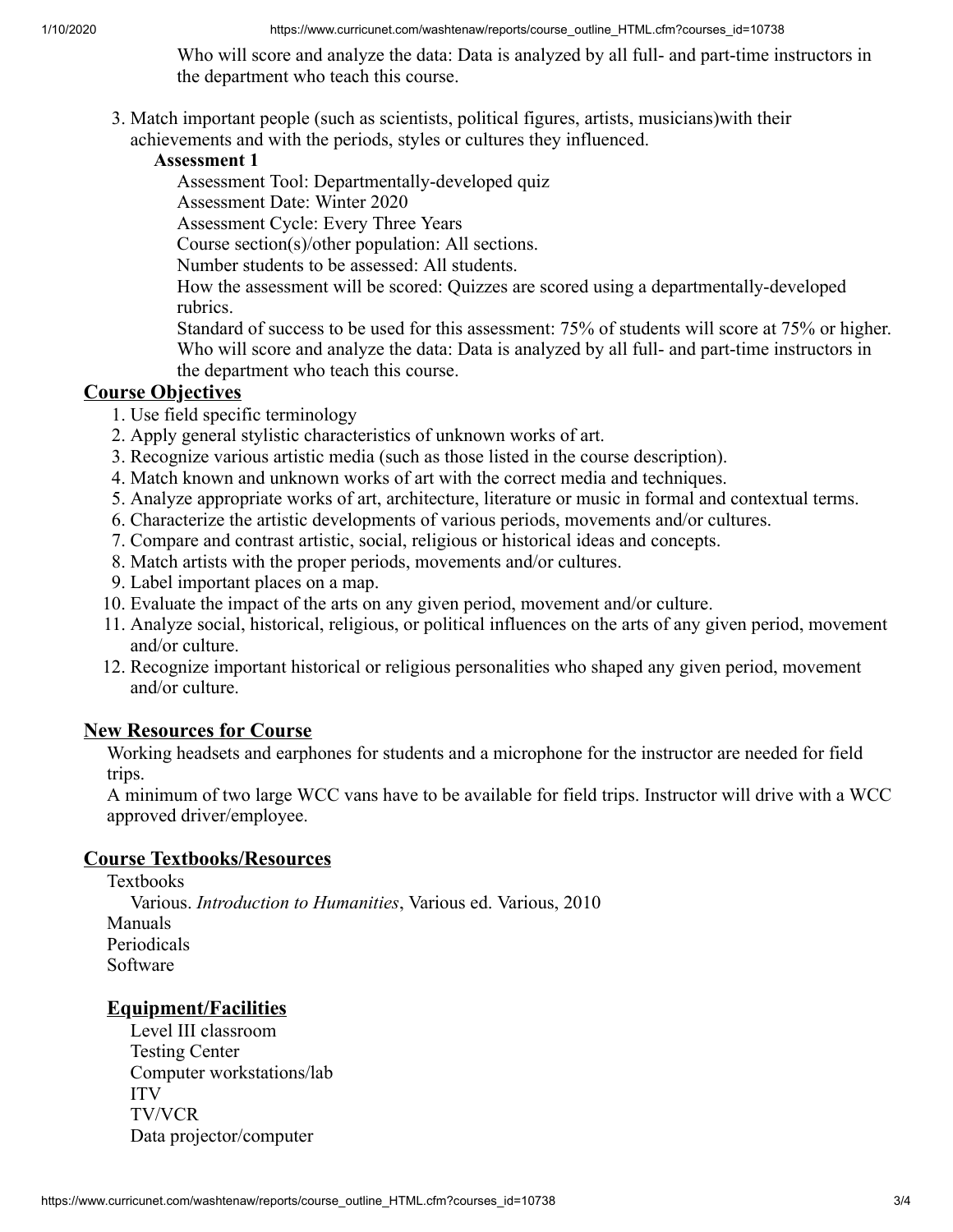Who will score and analyze the data: Data is analyzed by all full- and part-time instructors in the department who teach this course.

3. Match important people (such as scientists, political figures, artists, musicians)with their achievements and with the periods, styles or cultures they influenced.

#### **Assessment 1**

Assessment Tool: Departmentally-developed quiz

Assessment Date: Winter 2020

Assessment Cycle: Every Three Years

Course section(s)/other population: All sections.

Number students to be assessed: All students.

How the assessment will be scored: Quizzes are scored using a departmentally-developed rubrics.

Standard of success to be used for this assessment: 75% of students will score at 75% or higher. Who will score and analyze the data: Data is analyzed by all full- and part-time instructors in the department who teach this course.

### **Course Objectives**

- 1. Use field specific terminology
- 2. Apply general stylistic characteristics of unknown works of art.
- 3. Recognize various artistic media (such as those listed in the course description).
- 4. Match known and unknown works of art with the correct media and techniques.
- 5. Analyze appropriate works of art, architecture, literature or music in formal and contextual terms.
- 6. Characterize the artistic developments of various periods, movements and/or cultures.
- 7. Compare and contrast artistic, social, religious or historical ideas and concepts.
- 8. Match artists with the proper periods, movements and/or cultures.
- 9. Label important places on a map.
- 10. Evaluate the impact of the arts on any given period, movement and/or culture.
- 11. Analyze social, historical, religious, or political influences on the arts of any given period, movement and/or culture.
- 12. Recognize important historical or religious personalities who shaped any given period, movement and/or culture.

# **New Resources for Course**

Working headsets and earphones for students and a microphone for the instructor are needed for field trips.

A minimum of two large WCC vans have to be available for field trips. Instructor will drive with a WCC approved driver/employee.

### **Course Textbooks/Resources**

Textbooks Various. *Introduction to Humanities*, Various ed. Various, 2010 Manuals Periodicals Software

# **Equipment/Facilities**

Level III classroom Testing Center Computer workstations/lab ITV TV/VCR Data projector/computer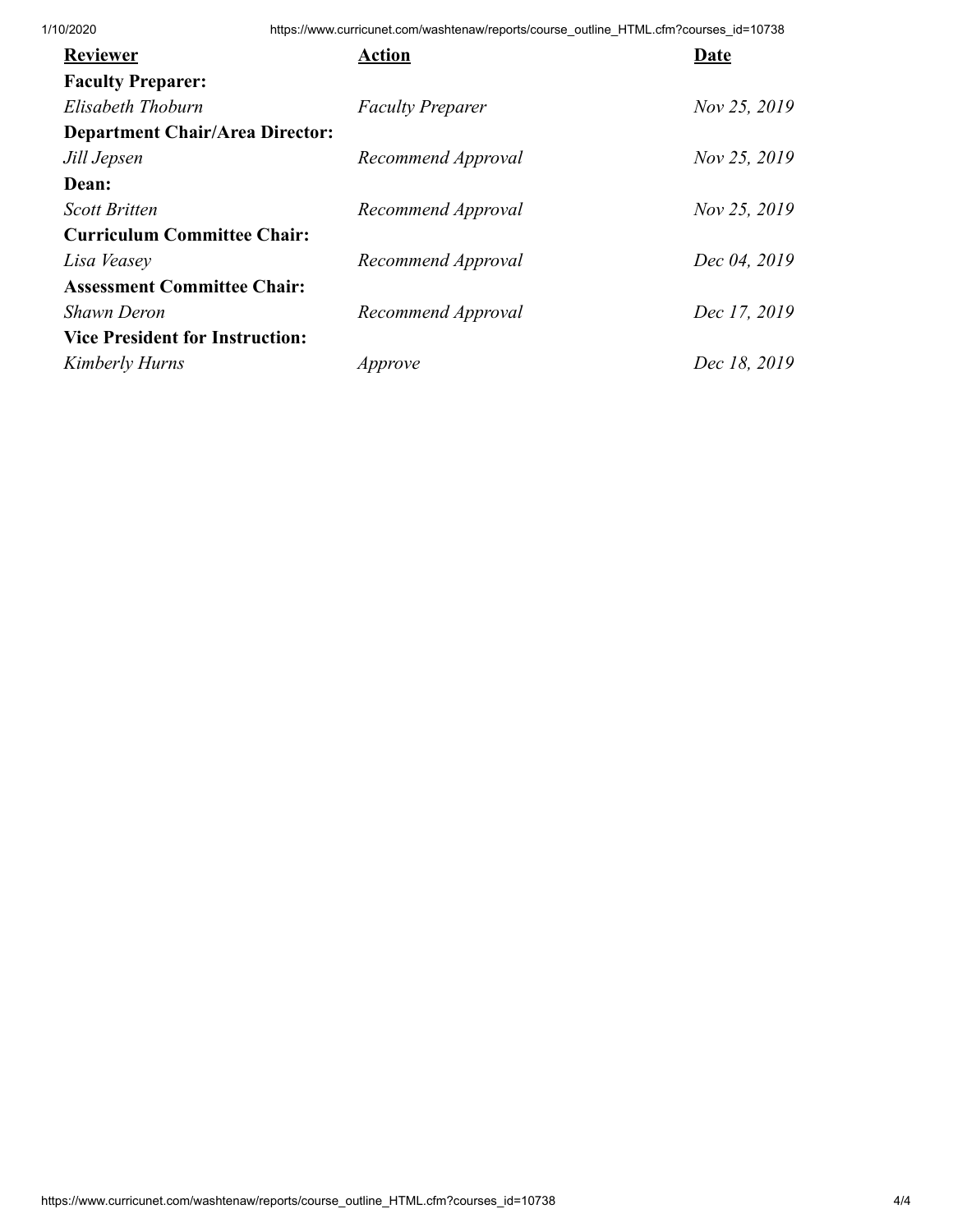1/10/2020 https://www.curricunet.com/washtenaw/reports/course\_outline\_HTML.cfm?courses\_id=10738

| <b>Reviewer</b>                        | <b>Action</b>           | Date         |
|----------------------------------------|-------------------------|--------------|
| <b>Faculty Preparer:</b>               |                         |              |
| Elisabeth Thoburn                      | <b>Faculty Preparer</b> | Nov 25, 2019 |
| <b>Department Chair/Area Director:</b> |                         |              |
| Jill Jepsen                            | Recommend Approval      | Nov 25, 2019 |
| Dean:                                  |                         |              |
| <b>Scott Britten</b>                   | Recommend Approval      | Nov 25, 2019 |
| <b>Curriculum Committee Chair:</b>     |                         |              |
| Lisa Veasey                            | Recommend Approval      | Dec 04, 2019 |
| <b>Assessment Committee Chair:</b>     |                         |              |
| <b>Shawn Deron</b>                     | Recommend Approval      | Dec 17, 2019 |
| <b>Vice President for Instruction:</b> |                         |              |
| Kimberly Hurns                         | Approve                 | Dec 18, 2019 |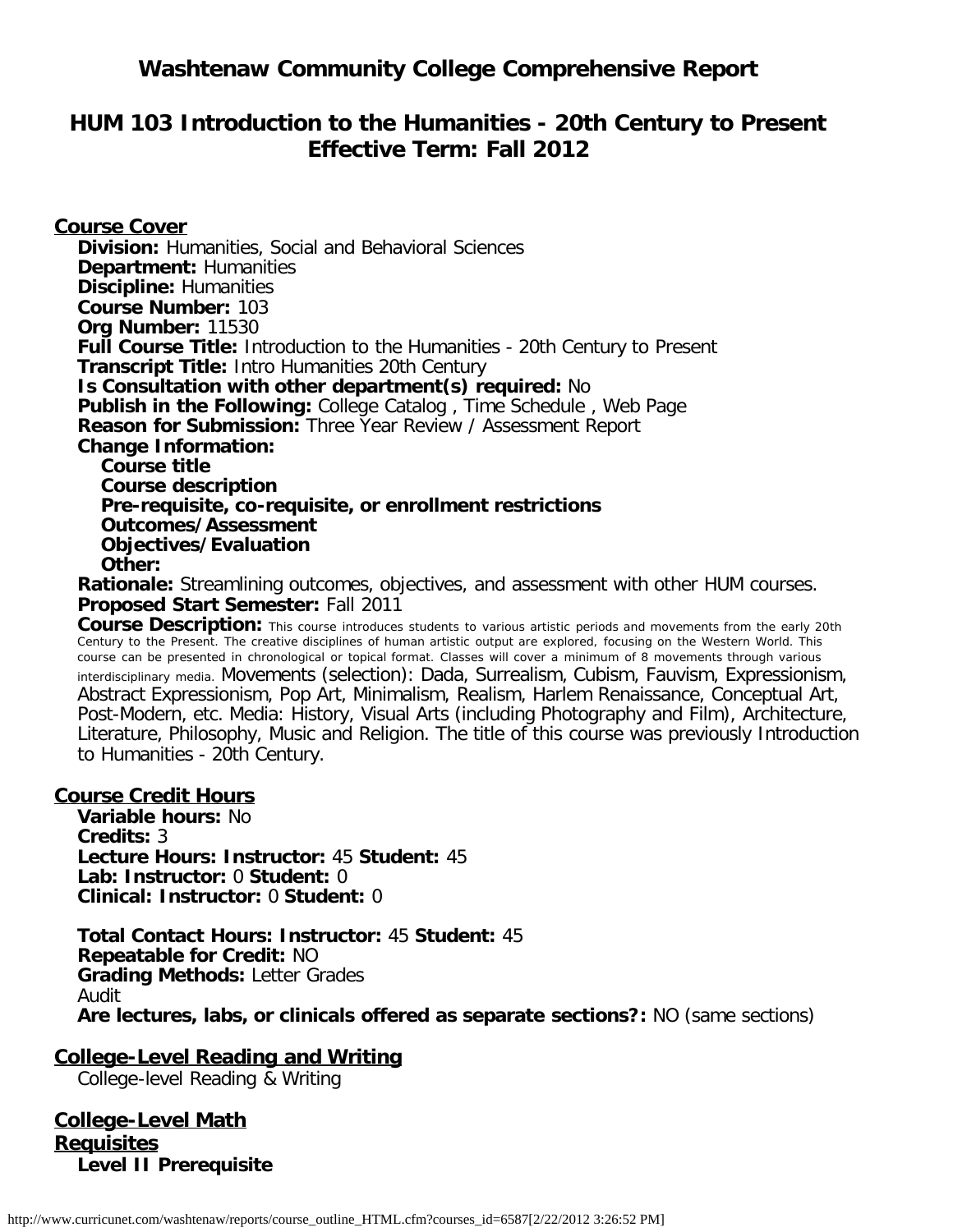# **Washtenaw Community College Comprehensive Report**

# **HUM 103 Introduction to the Humanities - 20th Century to Present Effective Term: Fall 2012**

# **Course Cover**

**Division:** Humanities, Social and Behavioral Sciences **Department:** Humanities **Discipline:** Humanities **Course Number:** 103 **Org Number:** 11530 **Full Course Title:** Introduction to the Humanities - 20th Century to Present **Transcript Title:** Intro Humanities 20th Century **Is Consultation with other department(s) required:** No **Publish in the Following:** College Catalog , Time Schedule , Web Page **Reason for Submission:** Three Year Review / Assessment Report **Change Information: Course title Course description Pre-requisite, co-requisite, or enrollment restrictions Outcomes/Assessment Objectives/Evaluation Other:**

**Rationale:** Streamlining outcomes, objectives, and assessment with other HUM courses. **Proposed Start Semester:** Fall 2011

Course Description: This course introduces students to various artistic periods and movements from the early 20th Century to the Present. The creative disciplines of human artistic output are explored, focusing on the Western World. This course can be presented in chronological or topical format. Classes will cover a minimum of 8 movements through various interdisciplinary media. Movements (selection): Dada, Surrealism, Cubism, Fauvism, Expressionism, Abstract Expressionism, Pop Art, Minimalism, Realism, Harlem Renaissance, Conceptual Art, Post-Modern, etc. Media: History, Visual Arts (including Photography and Film), Architecture, Literature, Philosophy, Music and Religion. The title of this course was previously Introduction to Humanities - 20th Century.

#### **Course Credit Hours**

**Variable hours:** No **Credits:** 3 **Lecture Hours: Instructor:** 45 **Student:** 45 **Lab: Instructor:** 0 **Student:** 0 **Clinical: Instructor:** 0 **Student:** 0

**Total Contact Hours: Instructor:** 45 **Student:** 45 **Repeatable for Credit:** NO **Grading Methods:** Letter Grades Audit **Are lectures, labs, or clinicals offered as separate sections?:** NO (same sections)

# **College-Level Reading and Writing**

College-level Reading & Writing

### **College-Level Math Requisites Level II Prerequisite**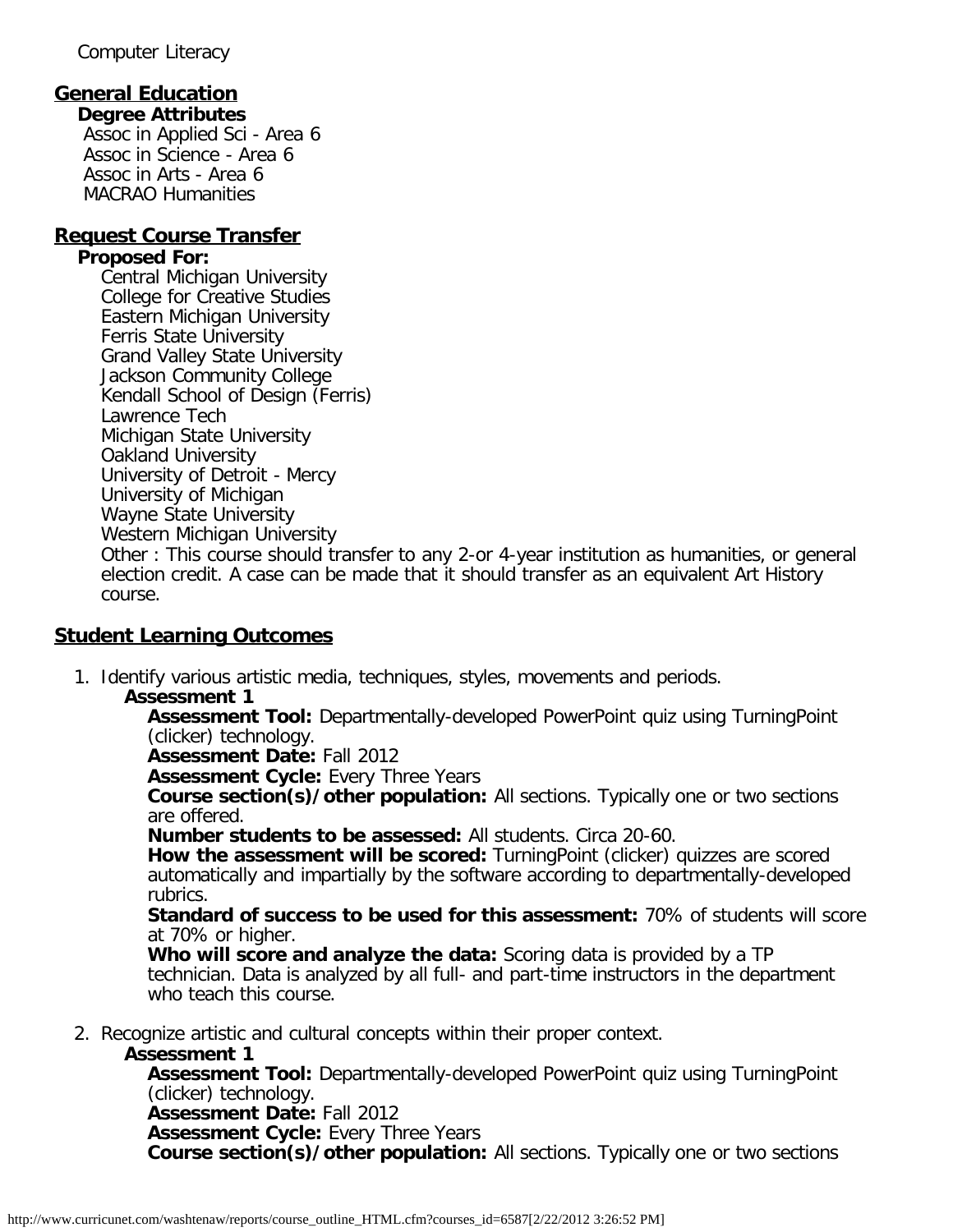Computer Literacy

# **General Education**

**Degree Attributes** Assoc in Applied Sci - Area 6 Assoc in Science - Area 6 Assoc in Arts - Area 6 MACRAO Humanities

# **Request Course Transfer**

# **Proposed For:**

Central Michigan University College for Creative Studies Eastern Michigan University Ferris State University Grand Valley State University Jackson Community College Kendall School of Design (Ferris) Lawrence Tech Michigan State University Oakland University University of Detroit - Mercy University of Michigan Wayne State University Western Michigan University

Other : This course should transfer to any 2-or 4-year institution as humanities, or general election credit. A case can be made that it should transfer as an equivalent Art History course.

# **Student Learning Outcomes**

1. Identify various artistic media, techniques, styles, movements and periods.

# **Assessment 1**

**Assessment Tool:** Departmentally-developed PowerPoint quiz using TurningPoint (clicker) technology.

**Assessment Date:** Fall 2012

**Assessment Cycle:** Every Three Years

**Course section(s)/other population:** All sections. Typically one or two sections are offered.

**Number students to be assessed:** All students. Circa 20-60.

**How the assessment will be scored:** TurningPoint (clicker) quizzes are scored automatically and impartially by the software according to departmentally-developed rubrics.

**Standard of success to be used for this assessment:** 70% of students will score at 70% or higher.

**Who will score and analyze the data:** Scoring data is provided by a TP technician. Data is analyzed by all full- and part-time instructors in the department who teach this course.

2. Recognize artistic and cultural concepts within their proper context.

# **Assessment 1**

**Assessment Tool:** Departmentally-developed PowerPoint quiz using TurningPoint (clicker) technology.

**Assessment Date:** Fall 2012

**Assessment Cycle:** Every Three Years

**Course section(s)/other population:** All sections. Typically one or two sections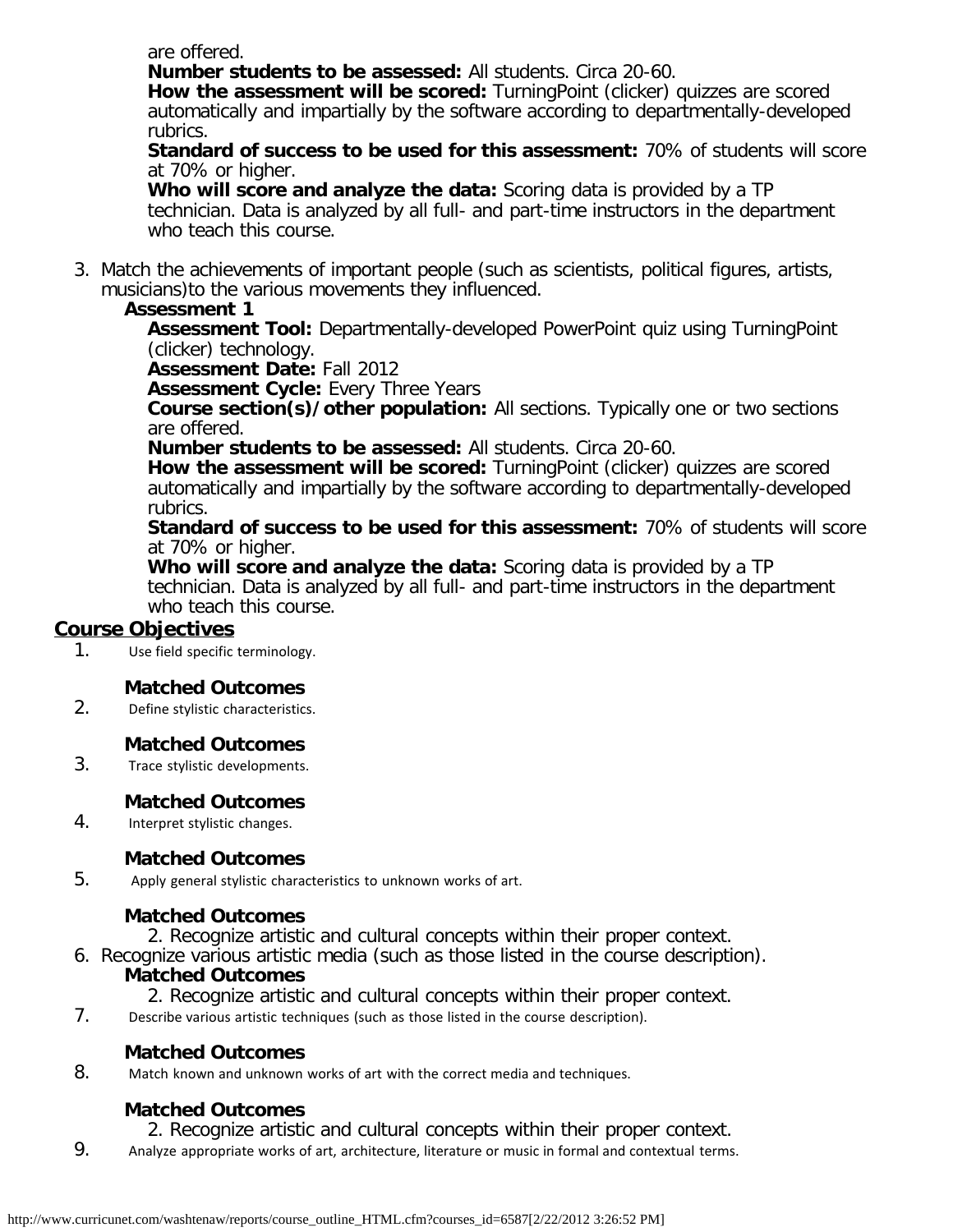are offered.

**Number students to be assessed:** All students. Circa 20-60.

**How the assessment will be scored:** TurningPoint (clicker) quizzes are scored automatically and impartially by the software according to departmentally-developed rubrics.

**Standard of success to be used for this assessment:** 70% of students will score at 70% or higher.

**Who will score and analyze the data:** Scoring data is provided by a TP technician. Data is analyzed by all full- and part-time instructors in the department who teach this course.

3. Match the achievements of important people (such as scientists, political figures, artists, musicians)to the various movements they influenced.

# **Assessment 1**

**Assessment Tool:** Departmentally-developed PowerPoint quiz using TurningPoint (clicker) technology.

**Assessment Date:** Fall 2012

**Assessment Cycle: Every Three Years** 

**Course section(s)/other population:** All sections. Typically one or two sections are offered.

**Number students to be assessed:** All students. Circa 20-60.

**How the assessment will be scored:** TurningPoint (clicker) quizzes are scored automatically and impartially by the software according to departmentally-developed rubrics.

**Standard of success to be used for this assessment:** 70% of students will score at 70% or higher.

**Who will score and analyze the data:** Scoring data is provided by a TP technician. Data is analyzed by all full- and part-time instructors in the department who teach this course.

# **Course Objectives**

1. Use field specific terminology.

# **Matched Outcomes**

2. Define stylistic characteristics.

# **Matched Outcomes**

3. Trace stylistic developments.

# **Matched Outcomes**

4. Interpret stylistic changes.

# **Matched Outcomes**

5. Apply general stylistic characteristics to unknown works of art.

# **Matched Outcomes**

- 2. Recognize artistic and cultural concepts within their proper context.
- 6. Recognize various artistic media (such as those listed in the course description).

### **Matched Outcomes**

- 2. Recognize artistic and cultural concepts within their proper context.
- 7. Describe various artistic techniques (such as those listed in the course description).

# **Matched Outcomes**

8. Match known and unknown works of art with the correct media and techniques.

# **Matched Outcomes**

2. Recognize artistic and cultural concepts within their proper context.

9. Analyze appropriate works of art, architecture, literature or music in formal and contextual terms.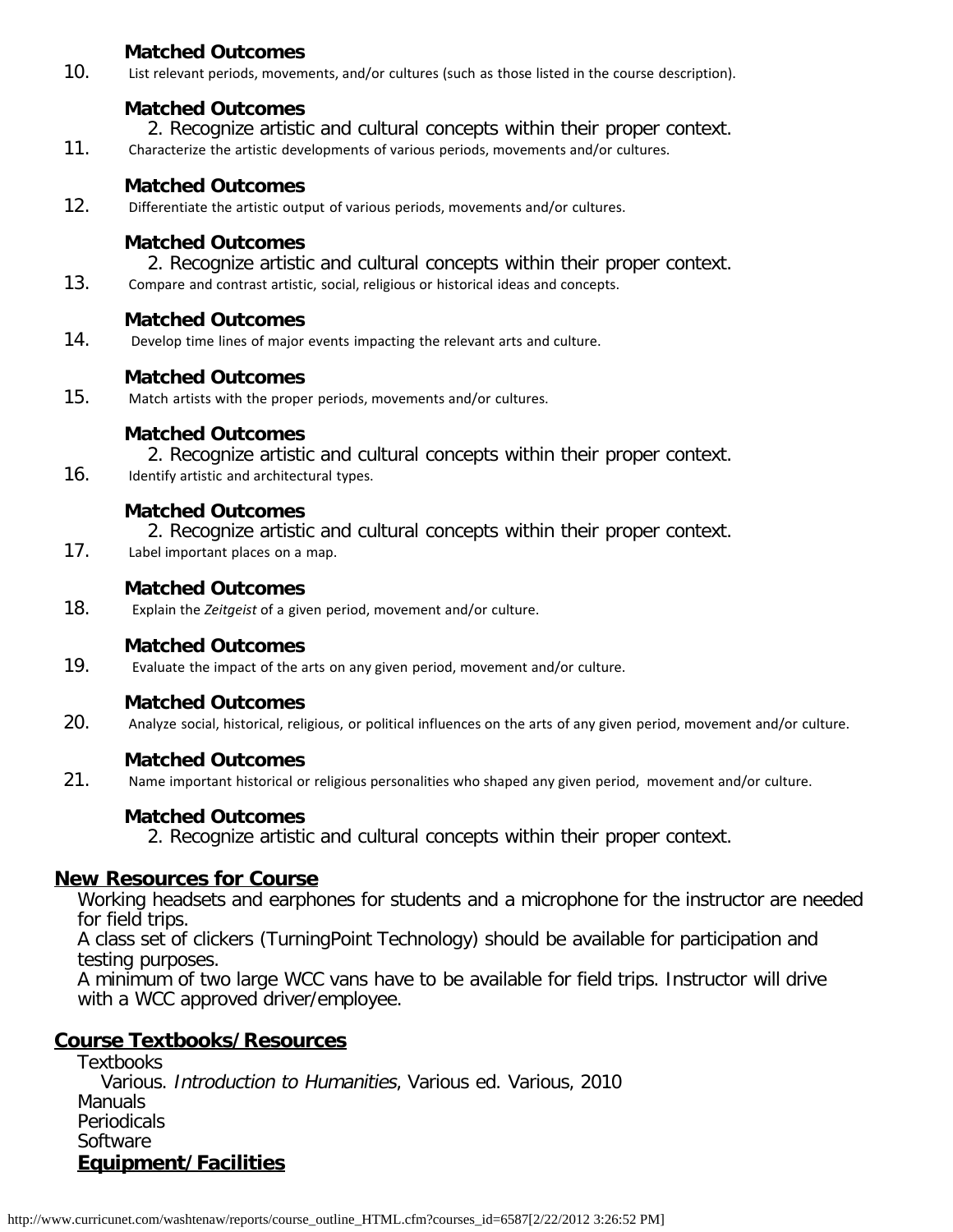# **Matched Outcomes**

10. List relevant periods, movements, and/or cultures (such as those listed in the course description).

# **Matched Outcomes**

2. Recognize artistic and cultural concepts within their proper context.

11. Characterize the artistic developments of various periods, movements and/or cultures.

# **Matched Outcomes**

12. Differentiate the artistic output of various periods, movements and/or cultures.

# **Matched Outcomes**

- 2. Recognize artistic and cultural concepts within their proper context.
- 13. Compare and contrast artistic, social, religious or historical ideas and concepts.

# **Matched Outcomes**

14. Develop time lines of major events impacting the relevant arts and culture.

# **Matched Outcomes**

15. Match artists with the proper periods, movements and/or cultures.

### **Matched Outcomes**

- 2. Recognize artistic and cultural concepts within their proper context.
- 16. Identify artistic and architectural types.

# **Matched Outcomes**

- 2. Recognize artistic and cultural concepts within their proper context.
- 17. Label important places on a map.

# **Matched Outcomes**

18. Explain the *Zeitgeist* of a given period, movement and/or culture.

# **Matched Outcomes**

19. Evaluate the impact of the arts on any given period, movement and/or culture.

# **Matched Outcomes**

20. Analyze social, historical, religious, or political influences on the arts of any given period, movement and/or culture.

# **Matched Outcomes**

21. Name important historical or religious personalities who shaped any given period, movement and/or culture.

# **Matched Outcomes**

2. Recognize artistic and cultural concepts within their proper context.

# **New Resources for Course**

Working headsets and earphones for students and a microphone for the instructor are needed for field trips.

A class set of clickers (TurningPoint Technology) should be available for participation and testing purposes.

A minimum of two large WCC vans have to be available for field trips. Instructor will drive with a WCC approved driver/employee.

# **Course Textbooks/Resources**

**Textbooks** Various. Introduction to Humanities, Various ed. Various, 2010 Manuals Periodicals Software **Equipment/Facilities**